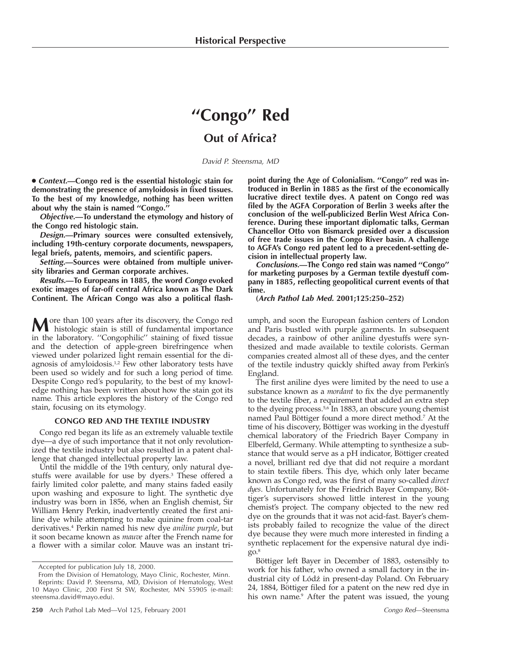# **''Congo'' Red**

## **Out of Africa?**

David P. Steensma, MD

● **Context.—Congo red is the essential histologic stain for demonstrating the presence of amyloidosis in fixed tissues. To the best of my knowledge, nothing has been written about why the stain is named ''Congo.''**

**Objective.—To understand the etymology and history of the Congo red histologic stain.**

**Design.—Primary sources were consulted extensively, including 19th-century corporate documents, newspapers, legal briefs, patents, memoirs, and scientific papers.**

**Setting.—Sources were obtained from multiple university libraries and German corporate archives.**

**Results.—To Europeans in 1885, the word Congo evoked exotic images of far-off central Africa known as The Dark Continent. The African Congo was also a political flash-**

**M** ore than 100 years after its discovery, the Congo red<br>histologic stain is still of fundamental importance in the laboratory. ''Congophilic'' staining of fixed tissue and the detection of apple-green birefringence when viewed under polarized light remain essential for the diagnosis of amyloidosis.<sup>1,2</sup> Few other laboratory tests have been used so widely and for such a long period of time. Despite Congo red's popularity, to the best of my knowledge nothing has been written about how the stain got its name. This article explores the history of the Congo red stain, focusing on its etymology.

### **CONGO RED AND THE TEXTILE INDUSTRY**

Congo red began its life as an extremely valuable textile dye—a dye of such importance that it not only revolutionized the textile industry but also resulted in a patent challenge that changed intellectual property law.

Until the middle of the 19th century, only natural dyestuffs were available for use by dyers.<sup>3</sup> These offered a fairly limited color palette, and many stains faded easily upon washing and exposure to light. The synthetic dye industry was born in 1856, when an English chemist, Sir William Henry Perkin, inadvertently created the first aniline dye while attempting to make quinine from coal-tar derivatives.4 Perkin named his new dye *aniline purple*, but it soon became known as *mauve* after the French name for a flower with a similar color. Mauve was an instant tri**point during the Age of Colonialism. ''Congo'' red was introduced in Berlin in 1885 as the first of the economically lucrative direct textile dyes. A patent on Congo red was filed by the AGFA Corporation of Berlin 3 weeks after the conclusion of the well-publicized Berlin West Africa Conference. During these important diplomatic talks, German Chancellor Otto von Bismarck presided over a discussion of free trade issues in the Congo River basin. A challenge to AGFA's Congo red patent led to a precedent-setting decision in intellectual property law.**

**Conclusions.—The Congo red stain was named ''Congo'' for marketing purposes by a German textile dyestuff company in 1885, reflecting geopolitical current events of that time.**

### **(Arch Pathol Lab Med. 2001;125:250–252)**

umph, and soon the European fashion centers of London and Paris bustled with purple garments. In subsequent decades, a rainbow of other aniline dyestuffs were synthesized and made available to textile colorists. German companies created almost all of these dyes, and the center of the textile industry quickly shifted away from Perkin's England.

The first aniline dyes were limited by the need to use a substance known as a *mordant* to fix the dye permanently to the textile fiber, a requirement that added an extra step to the dyeing process.<sup>5,6</sup> In 1883, an obscure young chemist named Paul Böttiger found a more direct method.<sup>7</sup> At the time of his discovery, Böttiger was working in the dyestuff chemical laboratory of the Friedrich Bayer Company in Elberfeld, Germany. While attempting to synthesize a substance that would serve as a pH indicator, Böttiger created a novel, brilliant red dye that did not require a mordant to stain textile fibers. This dye, which only later became known as Congo red, was the first of many so-called *direct* dyes. Unfortunately for the Friedrich Bayer Company, Böttiger's supervisors showed little interest in the young chemist's project. The company objected to the new red dye on the grounds that it was not acid-fast. Bayer's chemists probably failed to recognize the value of the direct dye because they were much more interested in finding a synthetic replacement for the expensive natural dye indi $g_0$ .<sup>8</sup>

Böttiger left Bayer in December of 1883, ostensibly to work for his father, who owned a small factory in the industrial city of Lódź in present-day Poland. On February 24, 1884, Böttiger filed for a patent on the new red dye in his own name.<sup>9</sup> After the patent was issued, the young

Accepted for publication July 18, 2000.

From the Division of Hematology, Mayo Clinic, Rochester, Minn. Reprints: David P. Steensma, MD, Division of Hematology, West 10 Mayo Clinic, 200 First St SW, Rochester, MN 55905 (e-mail: steensma.david@mayo.edu).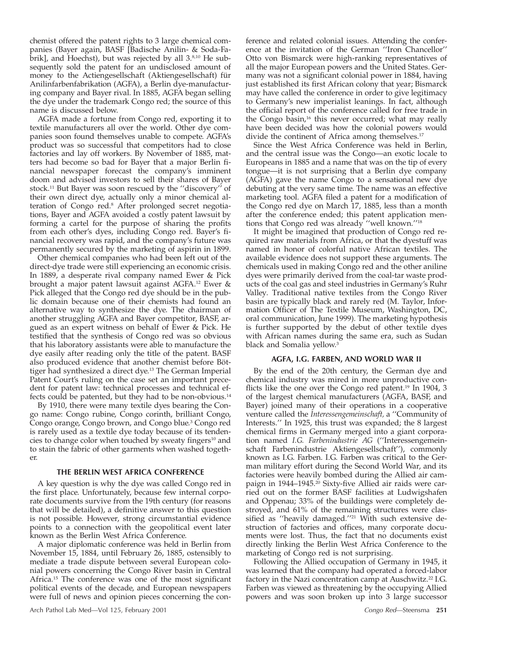chemist offered the patent rights to 3 large chemical companies (Bayer again, BASF [Badische Anilin- & Soda-Fabrik], and Hoechst), but was rejected by all 3.8,10 He subsequently sold the patent for an undisclosed amount of money to the Actiengesellschaft (Aktiengesellschaft) für Anilinfarbenfabrikation (AGFA), a Berlin dye-manufacturing company and Bayer rival. In 1885, AGFA began selling the dye under the trademark Congo red; the source of this name is discussed below.

AGFA made a fortune from Congo red, exporting it to textile manufacturers all over the world. Other dye companies soon found themselves unable to compete. AGFA's product was so successful that competitors had to close factories and lay off workers. By November of 1885, matters had become so bad for Bayer that a major Berlin financial newspaper forecast the company's imminent doom and advised investors to sell their shares of Bayer stock.11 But Bayer was soon rescued by the ''discovery'' of their own direct dye, actually only a minor chemical alteration of Congo red.8 After prolonged secret negotiations, Bayer and AGFA avoided a costly patent lawsuit by forming a cartel for the purpose of sharing the profits from each other's dyes, including Congo red. Bayer's financial recovery was rapid, and the company's future was permanently secured by the marketing of aspirin in 1899.

Other chemical companies who had been left out of the direct-dye trade were still experiencing an economic crisis. In 1889, a desperate rival company named Ewer & Pick brought a major patent lawsuit against AGFA.12 Ewer & Pick alleged that the Congo red dye should be in the public domain because one of their chemists had found an alternative way to synthesize the dye. The chairman of another struggling AGFA and Bayer competitor, BASF, argued as an expert witness on behalf of Ewer & Pick. He testified that the synthesis of Congo red was so obvious that his laboratory assistants were able to manufacture the dye easily after reading only the title of the patent. BASF also produced evidence that another chemist before Böttiger had synthesized a direct dye.13 The German Imperial Patent Court's ruling on the case set an important precedent for patent law: technical processes and technical effects could be patented, but they had to be non-obvious.14

By 1910, there were many textile dyes bearing the Congo name: Congo rubine, Congo corinth, brilliant Congo, Congo orange, Congo brown, and Congo blue.3 Congo red is rarely used as a textile dye today because of its tendencies to change color when touched by sweaty fingers<sup>10</sup> and to stain the fabric of other garments when washed together.

#### **THE BERLIN WEST AFRICA CONFERENCE**

A key question is why the dye was called Congo red in the first place. Unfortunately, because few internal corporate documents survive from the 19th century (for reasons that will be detailed), a definitive answer to this question is not possible. However, strong circumstantial evidence points to a connection with the geopolitical event later known as the Berlin West Africa Conference.

A major diplomatic conference was held in Berlin from November 15, 1884, until February 26, 1885, ostensibly to mediate a trade dispute between several European colonial powers concerning the Congo River basin in Central Africa.15 The conference was one of the most significant political events of the decade, and European newspapers were full of news and opinion pieces concerning the con-

ference and related colonial issues. Attending the conference at the invitation of the German ''Iron Chancellor'' Otto von Bismarck were high-ranking representatives of all the major European powers and the United States. Germany was not a significant colonial power in 1884, having just established its first African colony that year; Bismarck may have called the conference in order to give legitimacy to Germany's new imperialist leanings. In fact, although the official report of the conference called for free trade in the Congo basin,<sup>16</sup> this never occurred; what may really have been decided was how the colonial powers would divide the continent of Africa among themselves.<sup>17</sup>

Since the West Africa Conference was held in Berlin, and the central issue was the Congo—an exotic locale to Europeans in 1885 and a name that was on the tip of every tongue—it is not surprising that a Berlin dye company (AGFA) gave the name Congo to a sensational new dye debuting at the very same time. The name was an effective marketing tool. AGFA filed a patent for a modification of the Congo red dye on March 17, 1885, less than a month after the conference ended; this patent application mentions that Congo red was already "well known."<sup>18</sup>

It might be imagined that production of Congo red required raw materials from Africa, or that the dyestuff was named in honor of colorful native African textiles. The available evidence does not support these arguments. The chemicals used in making Congo red and the other aniline dyes were primarily derived from the coal-tar waste products of the coal gas and steel industries in Germany's Ruhr Valley. Traditional native textiles from the Congo River basin are typically black and rarely red (M. Taylor, Information Officer of The Textile Museum, Washington, DC, oral communication, June 1999). The marketing hypothesis is further supported by the debut of other textile dyes with African names during the same era, such as Sudan black and Somalia yellow.3

#### **AGFA, I.G. FARBEN, AND WORLD WAR II**

By the end of the 20th century, the German dye and chemical industry was mired in more unproductive conflicts like the one over the Congo red patent.<sup>19</sup> In 1904, 3 of the largest chemical manufacturers (AGFA, BASF, and Bayer) joined many of their operations in a cooperative venture called the *Interessengemeinschaft,* a ''Community of Interests.'' In 1925, this trust was expanded; the 8 largest chemical firms in Germany merged into a giant corporation named *I.G. Farbenindustrie AG* (''Interessengemeinschaft Farbenindustrie Aktiengesellschaft''), commonly known as I.G. Farben. I.G. Farben was critical to the German military effort during the Second World War, and its factories were heavily bombed during the Allied air campaign in 1944–1945.<sup>20</sup> Sixty-five Allied air raids were carried out on the former BASF facilities at Ludwigshafen and Oppenau; 33% of the buildings were completely destroyed, and 61% of the remaining structures were classified as "heavily damaged."<sup>21</sup> With such extensive destruction of factories and offices, many corporate documents were lost. Thus, the fact that no documents exist directly linking the Berlin West Africa Conference to the marketing of Congo red is not surprising.

Following the Allied occupation of Germany in 1945, it was learned that the company had operated a forced-labor factory in the Nazi concentration camp at Auschwitz.<sup>22</sup> I.G. Farben was viewed as threatening by the occupying Allied powers and was soon broken up into 3 large successor